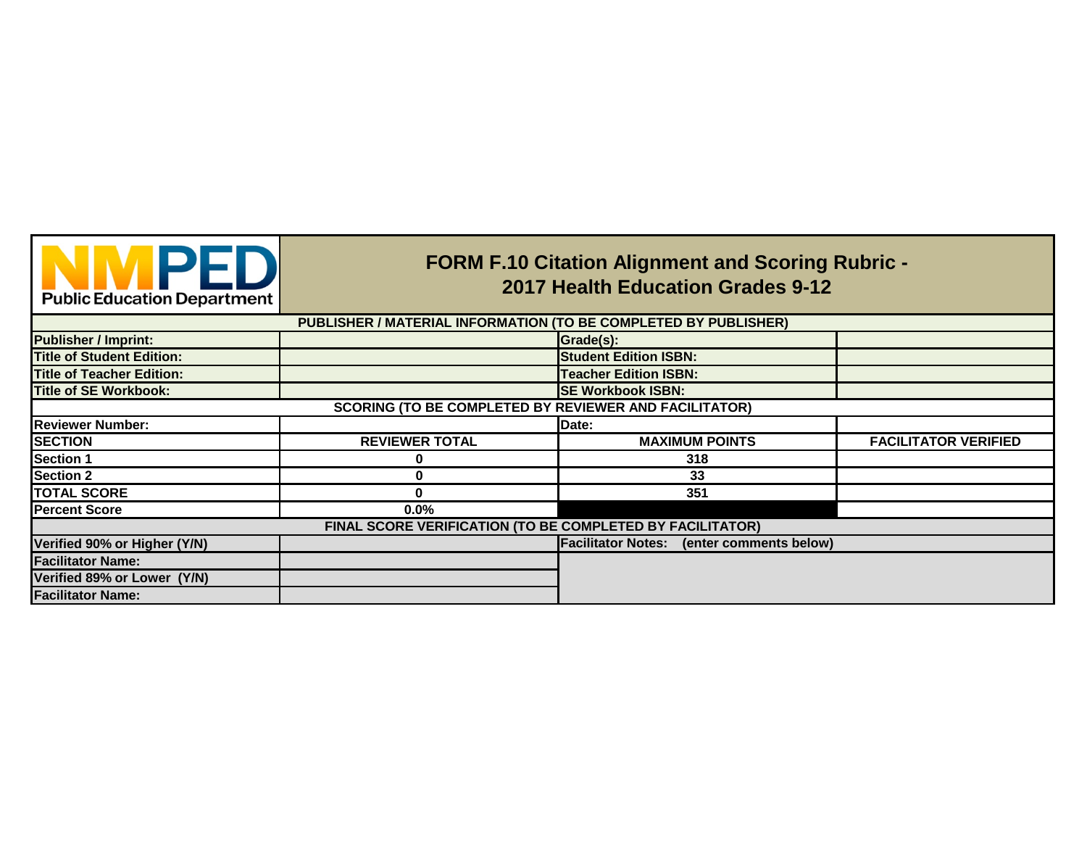| <b>Public Education Department</b> |  |  |  |
|------------------------------------|--|--|--|

## **FORM F.10 Citation Alignment and Scoring Rubric - 2017 Health Education Grades 9-12**

|                                                              | PUBLISHER / MATERIAL INFORMATION (TO BE COMPLETED BY PUBLISHER) |                                                     |                             |  |  |  |
|--------------------------------------------------------------|-----------------------------------------------------------------|-----------------------------------------------------|-----------------------------|--|--|--|
| <b>Publisher / Imprint:</b>                                  |                                                                 | Grade(s):                                           |                             |  |  |  |
| <b>Title of Student Edition:</b>                             |                                                                 | <b>Student Edition ISBN:</b>                        |                             |  |  |  |
| <b>Title of Teacher Edition:</b>                             |                                                                 | <b>Teacher Edition ISBN:</b>                        |                             |  |  |  |
| Title of SE Workbook:                                        |                                                                 | <b>SE Workbook ISBN:</b>                            |                             |  |  |  |
| <b>SCORING (TO BE COMPLETED BY REVIEWER AND FACILITATOR)</b> |                                                                 |                                                     |                             |  |  |  |
| <b>Reviewer Number:</b>                                      |                                                                 | Date:                                               |                             |  |  |  |
| <b>SECTION</b>                                               | <b>REVIEWER TOTAL</b>                                           | <b>MAXIMUM POINTS</b>                               | <b>FACILITATOR VERIFIED</b> |  |  |  |
| <b>Section 1</b>                                             | O                                                               | 318                                                 |                             |  |  |  |
| <b>Section 2</b>                                             | 0                                                               | 33                                                  |                             |  |  |  |
| <b>TOTAL SCORE</b>                                           | 0                                                               | 351                                                 |                             |  |  |  |
| <b>Percent Score</b>                                         | $0.0\%$                                                         |                                                     |                             |  |  |  |
|                                                              | FINAL SCORE VERIFICATION (TO BE COMPLETED BY FACILITATOR)       |                                                     |                             |  |  |  |
| Verified 90% or Higher (Y/N)                                 |                                                                 | <b>Facilitator Notes:</b><br>(enter comments below) |                             |  |  |  |
| <b>Facilitator Name:</b>                                     |                                                                 |                                                     |                             |  |  |  |
| Verified 89% or Lower (Y/N)                                  |                                                                 |                                                     |                             |  |  |  |
| <b>Facilitator Name:</b>                                     |                                                                 |                                                     |                             |  |  |  |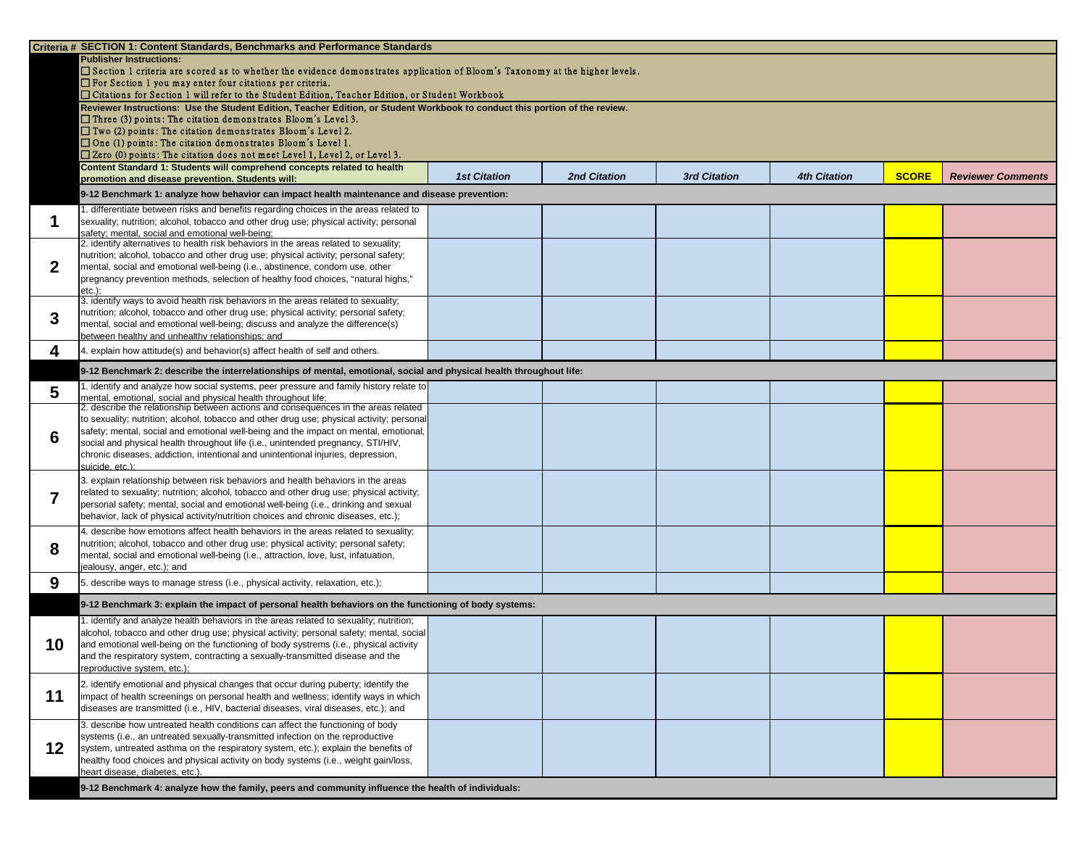|    | Criteria # SECTION 1: Content Standards, Benchmarks and Performance Standards                                                                                                   |                     |                     |                     |                     |              |                          |
|----|---------------------------------------------------------------------------------------------------------------------------------------------------------------------------------|---------------------|---------------------|---------------------|---------------------|--------------|--------------------------|
|    | <b>Publisher Instructions:</b>                                                                                                                                                  |                     |                     |                     |                     |              |                          |
|    | □ Section 1 criteria are scored as to whether the evidence demonstrates application of Bloom's Taxonomy at the higher levels.                                                   |                     |                     |                     |                     |              |                          |
|    | $\Box$ For Section 1 you may enter four citations per criteria.<br>□ Citations for Section 1 will refer to the Student Edition, Teacher Edition, or Student Workbook            |                     |                     |                     |                     |              |                          |
|    | Reviewer Instructions: Use the Student Edition, Teacher Edition, or Student Workbook to conduct this portion of the review.                                                     |                     |                     |                     |                     |              |                          |
|    | $\Box$ Three (3) points: The citation demonstrates Bloom's Level 3.                                                                                                             |                     |                     |                     |                     |              |                          |
|    | $\Box$ Two (2) points: The citation demonstrates Bloom's Level 2.                                                                                                               |                     |                     |                     |                     |              |                          |
|    | $\Box$ One (1) points: The citation demonstrates Bloom's Level 1.                                                                                                               |                     |                     |                     |                     |              |                          |
|    | $\square$ Zero (0) points: The citation does not meet Level 1, Level 2, or Level 3.                                                                                             |                     |                     |                     |                     |              |                          |
|    | Content Standard 1: Students will comprehend concepts related to health<br>promotion and disease prevention. Students will:                                                     | <b>1st Citation</b> | <b>2nd Citation</b> | <b>3rd Citation</b> | <b>4th Citation</b> | <b>SCORE</b> | <b>Reviewer Comments</b> |
|    |                                                                                                                                                                                 |                     |                     |                     |                     |              |                          |
|    | 9-12 Benchmark 1: analyze how behavior can impact health maintenance and disease prevention:                                                                                    |                     |                     |                     |                     |              |                          |
|    | I. differentiate between risks and benefits regarding choices in the areas related to<br>sexuality; nutrition; alcohol, tobacco and other drug use; physical activity; personal |                     |                     |                     |                     |              |                          |
|    | safety; mental, social and emotional well-being;                                                                                                                                |                     |                     |                     |                     |              |                          |
|    | 2. identify alternatives to health risk behaviors in the areas related to sexuality;                                                                                            |                     |                     |                     |                     |              |                          |
|    | nutrition; alcohol, tobacco and other drug use; physical activity; personal safety;                                                                                             |                     |                     |                     |                     |              |                          |
|    | mental, social and emotional well-being (i.e., abstinence, condom use, other                                                                                                    |                     |                     |                     |                     |              |                          |
|    | pregnancy prevention methods, selection of healthy food choices, "natural highs,"                                                                                               |                     |                     |                     |                     |              |                          |
|    | $etc.$ ):<br>3. identify ways to avoid health risk behaviors in the areas related to sexuality;                                                                                 |                     |                     |                     |                     |              |                          |
| 3  | nutrition; alcohol, tobacco and other drug use; physical activity; personal safety;                                                                                             |                     |                     |                     |                     |              |                          |
|    | mental, social and emotional well-being; discuss and analyze the difference(s)                                                                                                  |                     |                     |                     |                     |              |                          |
|    | between healthy and unhealthy relationships; and                                                                                                                                |                     |                     |                     |                     |              |                          |
| 4  | 4. explain how attitude(s) and behavior(s) affect health of self and others.                                                                                                    |                     |                     |                     |                     |              |                          |
|    | 9-12 Benchmark 2: describe the interrelationships of mental, emotional, social and physical health throughout life:                                                             |                     |                     |                     |                     |              |                          |
|    | identify and analyze how social systems, peer pressure and family history relate to                                                                                             |                     |                     |                     |                     |              |                          |
| 5  | mental, emotional, social and physical health throughout life;                                                                                                                  |                     |                     |                     |                     |              |                          |
|    | 2. describe the relationship between actions and consequences in the areas related<br>to sexuality; nutrition; alcohol, tobacco and other drug use; physical activity; personal |                     |                     |                     |                     |              |                          |
|    | safety; mental, social and emotional well-being and the impact on mental, emotional,                                                                                            |                     |                     |                     |                     |              |                          |
| 6  | social and physical health throughout life (i.e., unintended pregnancy, STI/HIV,                                                                                                |                     |                     |                     |                     |              |                          |
|    | chronic diseases, addiction, intentional and unintentional injuries, depression,                                                                                                |                     |                     |                     |                     |              |                          |
|    | suicide, etc.):                                                                                                                                                                 |                     |                     |                     |                     |              |                          |
|    | 3. explain relationship between risk behaviors and health behaviors in the areas                                                                                                |                     |                     |                     |                     |              |                          |
|    | related to sexuality; nutrition; alcohol, tobacco and other drug use; physical activity;                                                                                        |                     |                     |                     |                     |              |                          |
|    | personal safety; mental, social and emotional well-being (i.e., drinking and sexual<br>behavior, lack of physical activity/nutrition choices and chronic diseases, etc.);       |                     |                     |                     |                     |              |                          |
|    | 4. describe how emotions affect health behaviors in the areas related to sexuality;                                                                                             |                     |                     |                     |                     |              |                          |
|    | nutrition; alcohol, tobacco and other drug use; physical activity; personal safety;                                                                                             |                     |                     |                     |                     |              |                          |
| 8  | mental, social and emotional well-being (i.e., attraction, love, lust, infatuation,                                                                                             |                     |                     |                     |                     |              |                          |
|    | jealousy, anger, etc.); and                                                                                                                                                     |                     |                     |                     |                     |              |                          |
| 9  | 5. describe ways to manage stress (i.e., physical activity, relaxation, etc.);                                                                                                  |                     |                     |                     |                     |              |                          |
|    | 9-12 Benchmark 3: explain the impact of personal health behaviors on the functioning of body systems:                                                                           |                     |                     |                     |                     |              |                          |
|    | identify and analyze health behaviors in the areas related to sexuality; nutrition;                                                                                             |                     |                     |                     |                     |              |                          |
|    | alcohol, tobacco and other drug use; physical activity; personal safety; mental, social                                                                                         |                     |                     |                     |                     |              |                          |
| 10 | and emotional well-being on the functioning of body systrems (i.e., physical activity                                                                                           |                     |                     |                     |                     |              |                          |
|    | and the respiratory system, contracting a sexually-transmitted disease and the                                                                                                  |                     |                     |                     |                     |              |                          |
|    | reproductive system, etc.);                                                                                                                                                     |                     |                     |                     |                     |              |                          |
|    | 2. identify emotional and physical changes that occur during puberty; identify the                                                                                              |                     |                     |                     |                     |              |                          |
| 11 | impact of health screenings on personal health and wellness; identify ways in which                                                                                             |                     |                     |                     |                     |              |                          |
|    | diseases are transmitted (i.e., HIV, bacterial diseases, viral diseases, etc.); and                                                                                             |                     |                     |                     |                     |              |                          |
|    | 3. describe how untreated health conditions can affect the functioning of body                                                                                                  |                     |                     |                     |                     |              |                          |
|    | systems (i.e., an untreated sexually-transmitted infection on the reproductive                                                                                                  |                     |                     |                     |                     |              |                          |
| 12 | system, untreated asthma on the respiratory system, etc.); explain the benefits of                                                                                              |                     |                     |                     |                     |              |                          |
|    | healthy food choices and physical activity on body systems (i.e., weight gain/loss,<br>heart disease, diabetes, etc.).                                                          |                     |                     |                     |                     |              |                          |
|    |                                                                                                                                                                                 |                     |                     |                     |                     |              |                          |
|    | 9-12 Benchmark 4: analyze how the family, peers and community influence the health of individuals:                                                                              |                     |                     |                     |                     |              |                          |

| <b>4th Citation</b> | <b>SCORE</b> | <b>Reviewer Comments</b> |
|---------------------|--------------|--------------------------|
|                     |              |                          |
|                     |              |                          |
|                     |              |                          |
|                     |              |                          |
|                     |              |                          |
|                     |              |                          |
|                     |              |                          |
|                     |              |                          |
|                     |              |                          |
|                     |              |                          |
|                     |              |                          |
|                     |              |                          |
|                     |              |                          |
|                     |              |                          |
|                     |              |                          |
|                     |              |                          |
|                     |              |                          |
|                     |              |                          |
|                     |              |                          |
|                     |              |                          |
|                     |              |                          |
|                     |              |                          |
|                     |              |                          |
|                     |              |                          |
|                     |              |                          |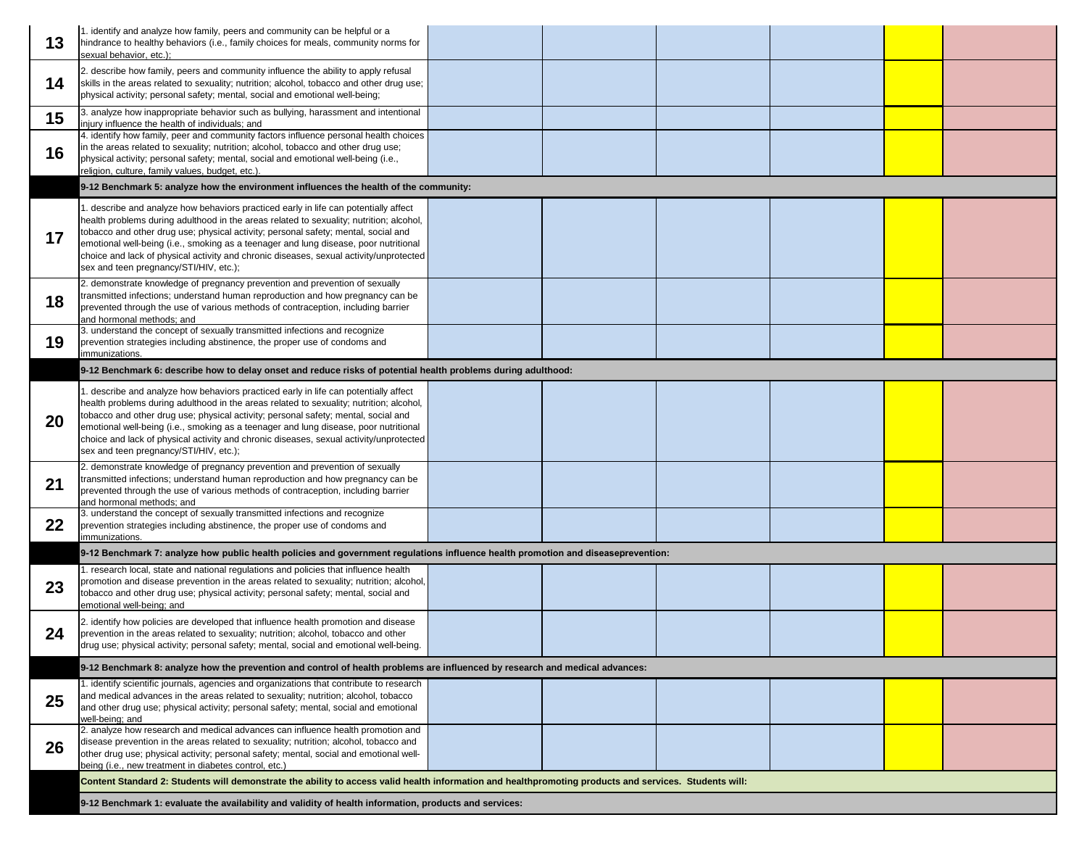|    | 1. identify and analyze how family, peers and community can be helpful or a                                                                                                                                                                                                                                                                                                                                                                                                                       |  |  |
|----|---------------------------------------------------------------------------------------------------------------------------------------------------------------------------------------------------------------------------------------------------------------------------------------------------------------------------------------------------------------------------------------------------------------------------------------------------------------------------------------------------|--|--|
| 13 | hindrance to healthy behaviors (i.e., family choices for meals, community norms for<br>sexual behavior, etc.);                                                                                                                                                                                                                                                                                                                                                                                    |  |  |
| 14 | 2. describe how family, peers and community influence the ability to apply refusal<br>skills in the areas related to sexuality; nutrition; alcohol, tobacco and other drug use;<br>physical activity; personal safety; mental, social and emotional well-being;                                                                                                                                                                                                                                   |  |  |
| 15 | 3. analyze how inappropriate behavior such as bullying, harassment and intentional<br>injury influence the health of individuals; and                                                                                                                                                                                                                                                                                                                                                             |  |  |
| 16 | 4. identify how family, peer and community factors influence personal health choices<br>in the areas related to sexuality; nutrition; alcohol, tobacco and other drug use;<br>physical activity; personal safety; mental, social and emotional well-being (i.e.,<br>religion, culture, family values, budget, etc.).                                                                                                                                                                              |  |  |
|    | 9-12 Benchmark 5: analyze how the environment influences the health of the community:                                                                                                                                                                                                                                                                                                                                                                                                             |  |  |
| 17 | 1. describe and analyze how behaviors practiced early in life can potentially affect<br>health problems during adulthood in the areas related to sexuality; nutrition; alcohol,<br>tobacco and other drug use; physical activity; personal safety; mental, social and<br>emotional well-being (i.e., smoking as a teenager and lung disease, poor nutritional<br>choice and lack of physical activity and chronic diseases, sexual activity/unprotected<br>sex and teen pregnancy/STI/HIV, etc.); |  |  |
| 18 | 2. demonstrate knowledge of pregnancy prevention and prevention of sexually<br>transmitted infections; understand human reproduction and how pregnancy can be<br>prevented through the use of various methods of contraception, including barrier<br>and hormonal methods; and                                                                                                                                                                                                                    |  |  |
| 19 | 3. understand the concept of sexually transmitted infections and recognize<br>prevention strategies including abstinence, the proper use of condoms and<br>immunizations.                                                                                                                                                                                                                                                                                                                         |  |  |
|    | 9-12 Benchmark 6: describe how to delay onset and reduce risks of potential health problems during adulthood:                                                                                                                                                                                                                                                                                                                                                                                     |  |  |
| 20 | 1. describe and analyze how behaviors practiced early in life can potentially affect<br>health problems during adulthood in the areas related to sexuality; nutrition; alcohol,<br>tobacco and other drug use; physical activity; personal safety; mental, social and<br>emotional well-being (i.e., smoking as a teenager and lung disease, poor nutritional<br>choice and lack of physical activity and chronic diseases, sexual activity/unprotected<br>sex and teen pregnancy/STI/HIV, etc.); |  |  |
| 21 | 2. demonstrate knowledge of pregnancy prevention and prevention of sexually<br>transmitted infections; understand human reproduction and how pregnancy can be<br>prevented through the use of various methods of contraception, including barrier<br>and hormonal methods; and                                                                                                                                                                                                                    |  |  |
| 22 | 3. understand the concept of sexually transmitted infections and recognize<br>prevention strategies including abstinence, the proper use of condoms and<br>immunizations.                                                                                                                                                                                                                                                                                                                         |  |  |
|    | 9-12 Benchmark 7: analyze how public health policies and government regulations influence health promotion and diseaseprevention:                                                                                                                                                                                                                                                                                                                                                                 |  |  |
| 23 | 1. research local, state and national regulations and policies that influence health<br>promotion and disease prevention in the areas related to sexuality; nutrition; alcohol,<br>tobacco and other drug use; physical activity; personal safety; mental, social and<br>emotional well-being; and                                                                                                                                                                                                |  |  |
| 24 | 2. identify how policies are developed that influence health promotion and disease<br>prevention in the areas related to sexuality; nutrition; alcohol, tobacco and other<br>drug use; physical activity; personal safety; mental, social and emotional well-being.                                                                                                                                                                                                                               |  |  |
|    | 9-12 Benchmark 8: analyze how the prevention and control of health problems are influenced by research and medical advances:                                                                                                                                                                                                                                                                                                                                                                      |  |  |
| 25 | 1. identify scientific journals, agencies and organizations that contribute to research<br>and medical advances in the areas related to sexuality; nutrition; alcohol, tobacco<br>and other drug use; physical activity; personal safety; mental, social and emotional<br>well-being; and                                                                                                                                                                                                         |  |  |
| 26 | 2. analyze how research and medical advances can influence health promotion and<br>disease prevention in the areas related to sexuality; nutrition; alcohol, tobacco and<br>other drug use; physical activity; personal safety; mental, social and emotional well-<br>being (i.e., new treatment in diabetes control, etc.)                                                                                                                                                                       |  |  |
|    | Content Standard 2: Students will demonstrate the ability to access valid health information and healthpromoting products and services. Students will:                                                                                                                                                                                                                                                                                                                                            |  |  |
|    | 9-12 Benchmark 1: evaluate the availability and validity of health information, products and services:                                                                                                                                                                                                                                                                                                                                                                                            |  |  |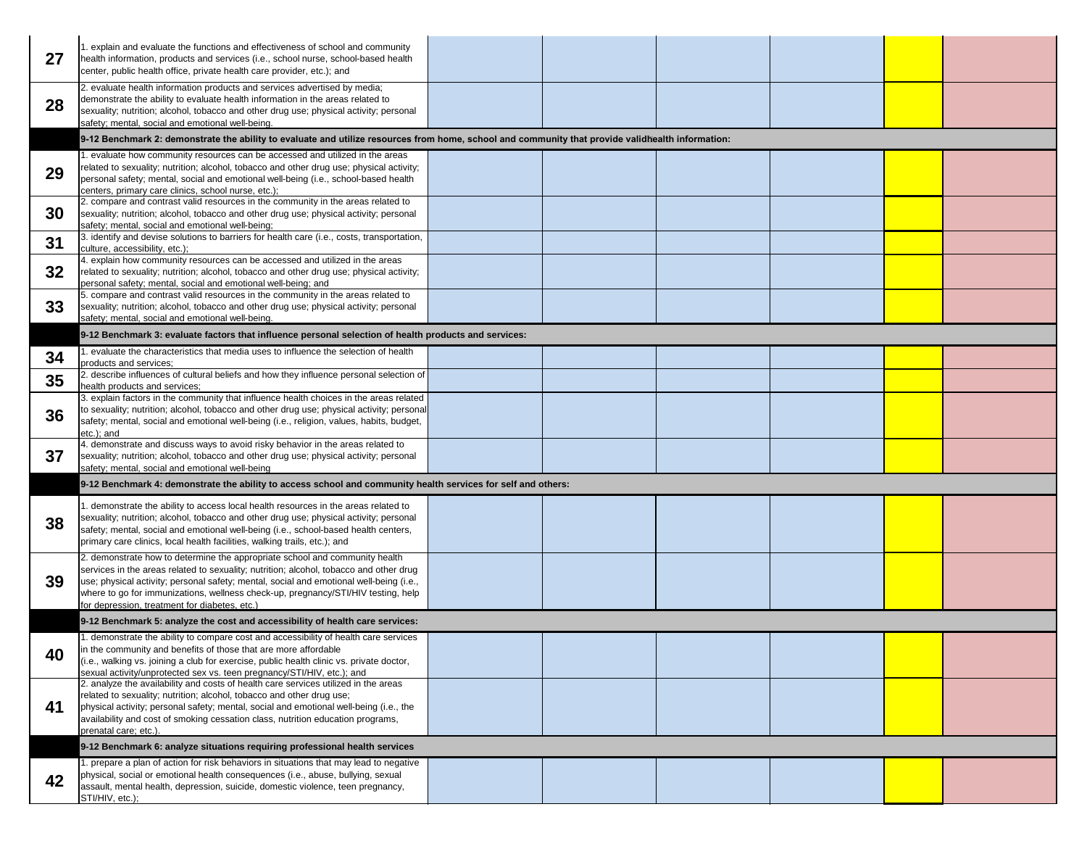| 27 | 1. explain and evaluate the functions and effectiveness of school and community<br>health information, products and services (i.e., school nurse, school-based health<br>center, public health office, private health care provider, etc.); and                                                                                                                                                        |  |  |
|----|--------------------------------------------------------------------------------------------------------------------------------------------------------------------------------------------------------------------------------------------------------------------------------------------------------------------------------------------------------------------------------------------------------|--|--|
| 28 | 2. evaluate health information products and services advertised by media;<br>demonstrate the ability to evaluate health information in the areas related to<br>sexuality; nutrition; alcohol, tobacco and other drug use; physical activity; personal<br>safety; mental, social and emotional well-being.                                                                                              |  |  |
|    | 9-12 Benchmark 2: demonstrate the ability to evaluate and utilize resources from home, school and community that provide validhealth information:                                                                                                                                                                                                                                                      |  |  |
|    | 1. evaluate how community resources can be accessed and utilized in the areas                                                                                                                                                                                                                                                                                                                          |  |  |
| 29 | related to sexuality; nutrition; alcohol, tobacco and other drug use; physical activity;<br>personal safety; mental, social and emotional well-being (i.e., school-based health<br>centers, primary care clinics, school nurse, etc.);                                                                                                                                                                 |  |  |
| 30 | 2. compare and contrast valid resources in the community in the areas related to<br>sexuality; nutrition; alcohol, tobacco and other drug use; physical activity; personal<br>safety; mental, social and emotional well-being;                                                                                                                                                                         |  |  |
| 31 | 3. identify and devise solutions to barriers for health care (i.e., costs, transportation,<br>culture, accessibility, etc.);                                                                                                                                                                                                                                                                           |  |  |
| 32 | 4. explain how community resources can be accessed and utilized in the areas<br>related to sexuality; nutrition; alcohol, tobacco and other drug use; physical activity;<br>personal safety; mental, social and emotional well-being; and                                                                                                                                                              |  |  |
| 33 | 5. compare and contrast valid resources in the community in the areas related to<br>sexuality; nutrition; alcohol, tobacco and other drug use; physical activity; personal<br>safety; mental, social and emotional well-being.                                                                                                                                                                         |  |  |
|    | 9-12 Benchmark 3: evaluate factors that influence personal selection of health products and services:                                                                                                                                                                                                                                                                                                  |  |  |
| 34 | 1. evaluate the characteristics that media uses to influence the selection of health<br>products and services;                                                                                                                                                                                                                                                                                         |  |  |
| 35 | 2. describe influences of cultural beliefs and how they influence personal selection of<br>health products and services;                                                                                                                                                                                                                                                                               |  |  |
| 36 | 3. explain factors in the community that influence health choices in the areas related<br>to sexuality; nutrition; alcohol, tobacco and other drug use; physical activity; personal<br>safety; mental, social and emotional well-being (i.e., religion, values, habits, budget,<br>etc.); and                                                                                                          |  |  |
| 37 | 4. demonstrate and discuss ways to avoid risky behavior in the areas related to<br>sexuality; nutrition; alcohol, tobacco and other drug use; physical activity; personal<br>safety; mental, social and emotional well-being                                                                                                                                                                           |  |  |
|    | 9-12 Benchmark 4: demonstrate the ability to access school and community health services for self and others:                                                                                                                                                                                                                                                                                          |  |  |
| 38 | 1. demonstrate the ability to access local health resources in the areas related to<br>sexuality; nutrition; alcohol, tobacco and other drug use; physical activity; personal<br>safety; mental, social and emotional well-being (i.e., school-based health centers,                                                                                                                                   |  |  |
|    | primary care clinics, local health facilities, walking trails, etc.); and                                                                                                                                                                                                                                                                                                                              |  |  |
| 39 | 2. demonstrate how to determine the appropriate school and community health<br>services in the areas related to sexuality; nutrition; alcohol, tobacco and other drug<br>use; physical activity; personal safety; mental, social and emotional well-being (i.e.,<br>where to go for immunizations, wellness check-up, pregnancy/STI/HIV testing, help<br>for depression, treatment for diabetes, etc.) |  |  |
|    | 9-12 Benchmark 5: analyze the cost and accessibility of health care services:                                                                                                                                                                                                                                                                                                                          |  |  |
|    | 1. demonstrate the ability to compare cost and accessibility of health care services                                                                                                                                                                                                                                                                                                                   |  |  |
| 40 | in the community and benefits of those that are more affordable<br>(i.e., walking vs. joining a club for exercise, public health clinic vs. private doctor,<br>sexual activity/unprotected sex vs. teen pregnancy/STI/HIV, etc.); and                                                                                                                                                                  |  |  |
| 41 | 2. analyze the availability and costs of health care services utilized in the areas<br>related to sexuality; nutrition; alcohol, tobacco and other drug use;<br>physical activity; personal safety; mental, social and emotional well-being (i.e., the<br>availability and cost of smoking cessation class, nutrition education programs,<br>prenatal care; etc.)                                      |  |  |
|    | 9-12 Benchmark 6: analyze situations requiring professional health services                                                                                                                                                                                                                                                                                                                            |  |  |
| 42 | 1. prepare a plan of action for risk behaviors in situations that may lead to negative<br>physical, social or emotional health consequences (i.e., abuse, bullying, sexual<br>assault, mental health, depression, suicide, domestic violence, teen pregnancy,<br>STI/HIV, etc.);                                                                                                                       |  |  |
|    |                                                                                                                                                                                                                                                                                                                                                                                                        |  |  |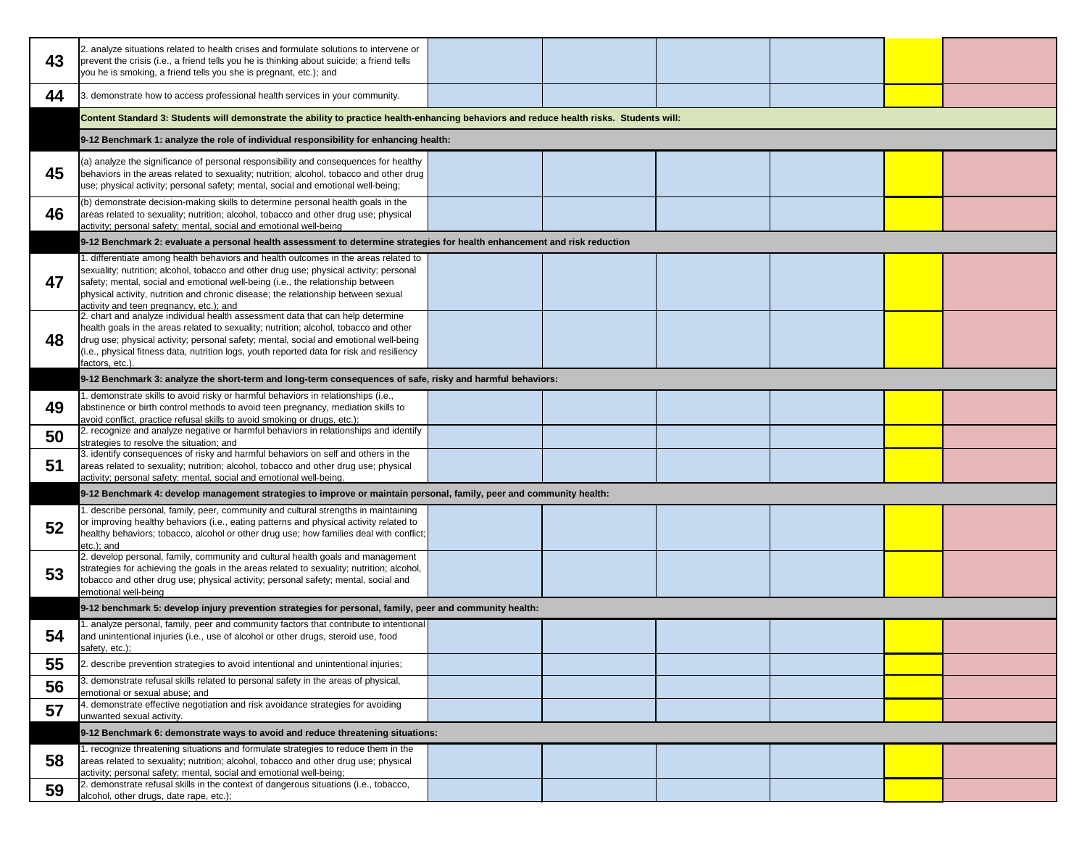| 43 | 2. analyze situations related to health crises and formulate solutions to intervene or<br>prevent the crisis (i.e., a friend tells you he is thinking about suicide; a friend tells<br>you he is smoking, a friend tells you she is pregnant, etc.); and                                                                                                                                         |  |  |
|----|--------------------------------------------------------------------------------------------------------------------------------------------------------------------------------------------------------------------------------------------------------------------------------------------------------------------------------------------------------------------------------------------------|--|--|
| 44 | 3. demonstrate how to access professional health services in your community.                                                                                                                                                                                                                                                                                                                     |  |  |
|    | Content Standard 3: Students will demonstrate the ability to practice health-enhancing behaviors and reduce health risks. Students will:                                                                                                                                                                                                                                                         |  |  |
|    | 9-12 Benchmark 1: analyze the role of individual responsibility for enhancing health:                                                                                                                                                                                                                                                                                                            |  |  |
| 45 | (a) analyze the significance of personal responsibility and consequences for healthy<br>behaviors in the areas related to sexuality; nutrition; alcohol, tobacco and other drug<br>use; physical activity; personal safety; mental, social and emotional well-being;                                                                                                                             |  |  |
| 46 | (b) demonstrate decision-making skills to determine personal health goals in the<br>areas related to sexuality; nutrition; alcohol, tobacco and other drug use; physical<br>activity; personal safety; mental, social and emotional well-being                                                                                                                                                   |  |  |
|    | 9-12 Benchmark 2: evaluate a personal health assessment to determine strategies for health enhancement and risk reduction                                                                                                                                                                                                                                                                        |  |  |
| 47 | 1. differentiate among health behaviors and health outcomes in the areas related to<br>sexuality; nutrition; alcohol, tobacco and other drug use; physical activity; personal<br>safety; mental, social and emotional well-being (i.e., the relationship between<br>physical activity, nutrition and chronic disease; the relationship between sexual<br>activity and teen pregnancy, etc.); and |  |  |
| 48 | 2. chart and analyze individual health assessment data that can help determine<br>health goals in the areas related to sexuality; nutrition; alcohol, tobacco and other<br>drug use; physical activity; personal safety; mental, social and emotional well-being<br>(i.e., physical fitness data, nutrition logs, youth reported data for risk and resiliency<br>factors, etc.).                 |  |  |
|    | 9-12 Benchmark 3: analyze the short-term and long-term consequences of safe, risky and harmful behaviors:                                                                                                                                                                                                                                                                                        |  |  |
| 49 | 1. demonstrate skills to avoid risky or harmful behaviors in relationships (i.e.,<br>abstinence or birth control methods to avoid teen pregnancy, mediation skills to<br>avoid conflict, practice refusal skills to avoid smoking or drugs, etc.);                                                                                                                                               |  |  |
| 50 | 2. recognize and analyze negative or harmful behaviors in relationships and identify<br>strategies to resolve the situation; and                                                                                                                                                                                                                                                                 |  |  |
| 51 | 3. identify consequences of risky and harmful behaviors on self and others in the<br>areas related to sexuality; nutrition; alcohol, tobacco and other drug use; physical<br>activity; personal safety; mental, social and emotional well-being.                                                                                                                                                 |  |  |
|    | 9-12 Benchmark 4: develop management strategies to improve or maintain personal, family, peer and community health:                                                                                                                                                                                                                                                                              |  |  |
| 52 | 1. describe personal, family, peer, community and cultural strengths in maintaining<br>or improving healthy behaviors (i.e., eating patterns and physical activity related to<br>healthy behaviors; tobacco, alcohol or other drug use; how families deal with conflict;<br>etc.); and                                                                                                           |  |  |
| 53 | 2. develop personal, family, community and cultural health goals and management<br>strategies for achieving the goals in the areas related to sexuality; nutrition; alcohol,<br>tobacco and other drug use; physical activity; personal safety; mental, social and<br>emotional well-being                                                                                                       |  |  |
|    | 9-12 benchmark 5: develop injury prevention strategies for personal, family, peer and community health:                                                                                                                                                                                                                                                                                          |  |  |
| 54 | 1. analyze personal, family, peer and community factors that contribute to intentional<br>and unintentional injuries (i.e., use of alcohol or other drugs, steroid use, food<br>safety, etc.);                                                                                                                                                                                                   |  |  |
| 55 | 2. describe prevention strategies to avoid intentional and unintentional injuries;                                                                                                                                                                                                                                                                                                               |  |  |
| 56 | 3. demonstrate refusal skills related to personal safety in the areas of physical,<br>emotional or sexual abuse; and                                                                                                                                                                                                                                                                             |  |  |
| 57 | 4. demonstrate effective negotiation and risk avoidance strategies for avoiding<br>unwanted sexual activity.                                                                                                                                                                                                                                                                                     |  |  |
|    | 9-12 Benchmark 6: demonstrate ways to avoid and reduce threatening situations:                                                                                                                                                                                                                                                                                                                   |  |  |
| 58 | 1. recognize threatening situations and formulate strategies to reduce them in the<br>areas related to sexuality; nutrition; alcohol, tobacco and other drug use; physical<br>activity; personal safety; mental, social and emotional well-being;                                                                                                                                                |  |  |
| 59 | 2. demonstrate refusal skills in the context of dangerous situations (i.e., tobacco,<br>alcohol, other drugs, date rape, etc.);                                                                                                                                                                                                                                                                  |  |  |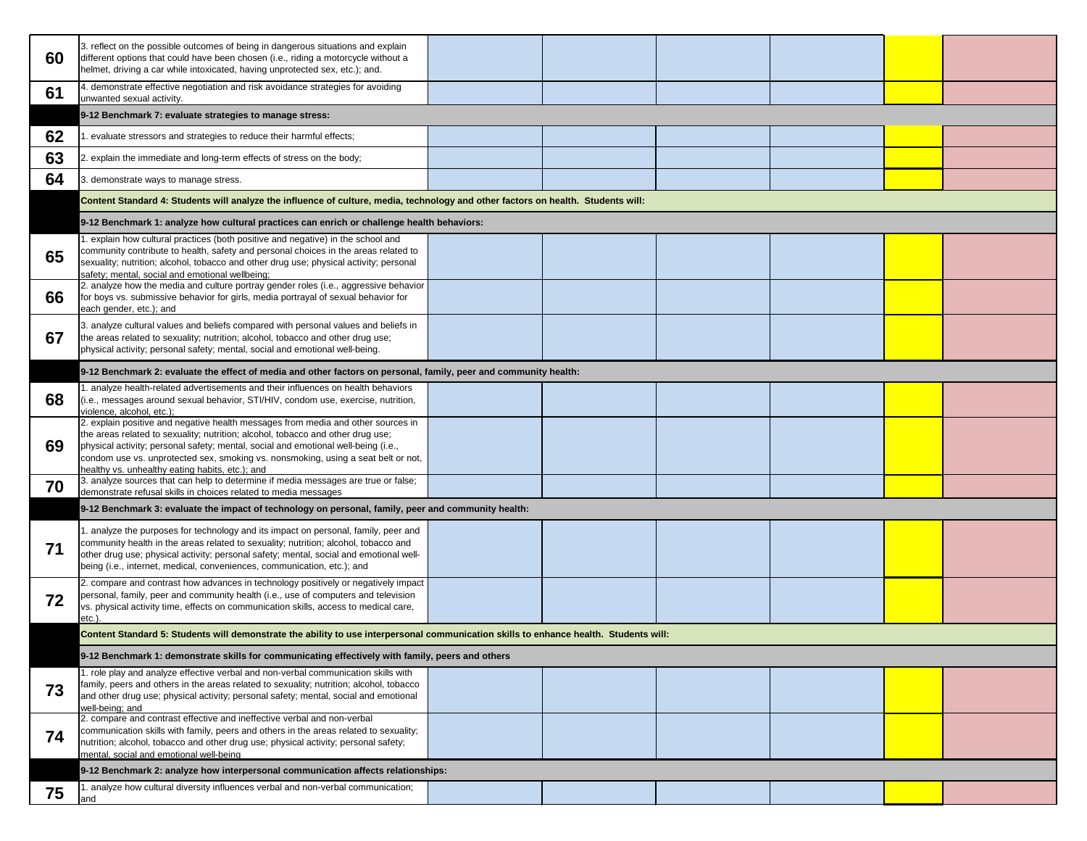| 60 | 3. reflect on the possible outcomes of being in dangerous situations and explain<br>different options that could have been chosen (i.e., riding a motorcycle without a<br>helmet, driving a car while intoxicated, having unprotected sex, etc.); and.                                                                                                                                            |  |  |
|----|---------------------------------------------------------------------------------------------------------------------------------------------------------------------------------------------------------------------------------------------------------------------------------------------------------------------------------------------------------------------------------------------------|--|--|
| 61 | 4. demonstrate effective negotiation and risk avoidance strategies for avoiding<br>unwanted sexual activity.                                                                                                                                                                                                                                                                                      |  |  |
|    | 9-12 Benchmark 7: evaluate strategies to manage stress:                                                                                                                                                                                                                                                                                                                                           |  |  |
| 62 | 1. evaluate stressors and strategies to reduce their harmful effects;                                                                                                                                                                                                                                                                                                                             |  |  |
| 63 | 2. explain the immediate and long-term effects of stress on the body;                                                                                                                                                                                                                                                                                                                             |  |  |
| 64 | 3. demonstrate ways to manage stress.                                                                                                                                                                                                                                                                                                                                                             |  |  |
|    | Content Standard 4: Students will analyze the influence of culture, media, technology and other factors on health. Students will:                                                                                                                                                                                                                                                                 |  |  |
|    | 9-12 Benchmark 1: analyze how cultural practices can enrich or challenge health behaviors:                                                                                                                                                                                                                                                                                                        |  |  |
| 65 | 1. explain how cultural practices (both positive and negative) in the school and<br>community contribute to health, safety and personal choices in the areas related to<br>sexuality; nutrition; alcohol, tobacco and other drug use; physical activity; personal<br>safety; mental, social and emotional wellbeing;                                                                              |  |  |
| 66 | 2. analyze how the media and culture portray gender roles (i.e., aggressive behavior<br>for boys vs. submissive behavior for girls, media portrayal of sexual behavior for<br>each gender, etc.); and                                                                                                                                                                                             |  |  |
| 67 | 3. analyze cultural values and beliefs compared with personal values and beliefs in<br>the areas related to sexuality; nutrition; alcohol, tobacco and other drug use;<br>physical activity; personal safety; mental, social and emotional well-being.                                                                                                                                            |  |  |
|    | 9-12 Benchmark 2: evaluate the effect of media and other factors on personal, family, peer and community health:                                                                                                                                                                                                                                                                                  |  |  |
| 68 | 1. analyze health-related advertisements and their influences on health behaviors<br>(i.e., messages around sexual behavior, STI/HIV, condom use, exercise, nutrition,<br>violence, alcohol, etc.);                                                                                                                                                                                               |  |  |
| 69 | 2. explain positive and negative health messages from media and other sources in<br>the areas related to sexuality; nutrition; alcohol, tobacco and other drug use;<br>physical activity; personal safety; mental, social and emotional well-being (i.e.,<br>condom use vs. unprotected sex, smoking vs. nonsmoking, using a seat belt or not,<br>healthy vs. unhealthy eating habits, etc.); and |  |  |
| 70 | 3. analyze sources that can help to determine if media messages are true or false;<br>demonstrate refusal skills in choices related to media messages                                                                                                                                                                                                                                             |  |  |
|    | 9-12 Benchmark 3: evaluate the impact of technology on personal, family, peer and community health:                                                                                                                                                                                                                                                                                               |  |  |
| 71 | 1. analyze the purposes for technology and its impact on personal, family, peer and<br>community health in the areas related to sexuality; nutrition; alcohol, tobacco and<br>other drug use; physical activity; personal safety; mental, social and emotional well-<br>being (i.e., internet, medical, conveniences, communication, etc.); and                                                   |  |  |
| 72 | 2. compare and contrast how advances in technology positively or negatively impact<br>personal, family, peer and community health (i.e., use of computers and television<br>vs. physical activity time, effects on communication skills, access to medical care,<br>$etc.$ )                                                                                                                      |  |  |
|    | Content Standard 5: Students will demonstrate the ability to use interpersonal communication skills to enhance health. Students will:                                                                                                                                                                                                                                                             |  |  |
|    | 9-12 Benchmark 1: demonstrate skills for communicating effectively with family, peers and others                                                                                                                                                                                                                                                                                                  |  |  |
| 73 | 1. role play and analyze effective verbal and non-verbal communication skills with<br>family, peers and others in the areas related to sexuality; nutrition; alcohol, tobacco<br>and other drug use; physical activity; personal safety; mental, social and emotional<br>well-being; and                                                                                                          |  |  |
| 74 | 2. compare and contrast effective and ineffective verbal and non-verbal<br>communication skills with family, peers and others in the areas related to sexuality;<br>nutrition; alcohol, tobacco and other drug use; physical activity; personal safety;<br>mental, social and emotional well-being                                                                                                |  |  |
|    | 9-12 Benchmark 2: analyze how interpersonal communication affects relationships:                                                                                                                                                                                                                                                                                                                  |  |  |
| 75 | 1. analyze how cultural diversity influences verbal and non-verbal communication:<br>and                                                                                                                                                                                                                                                                                                          |  |  |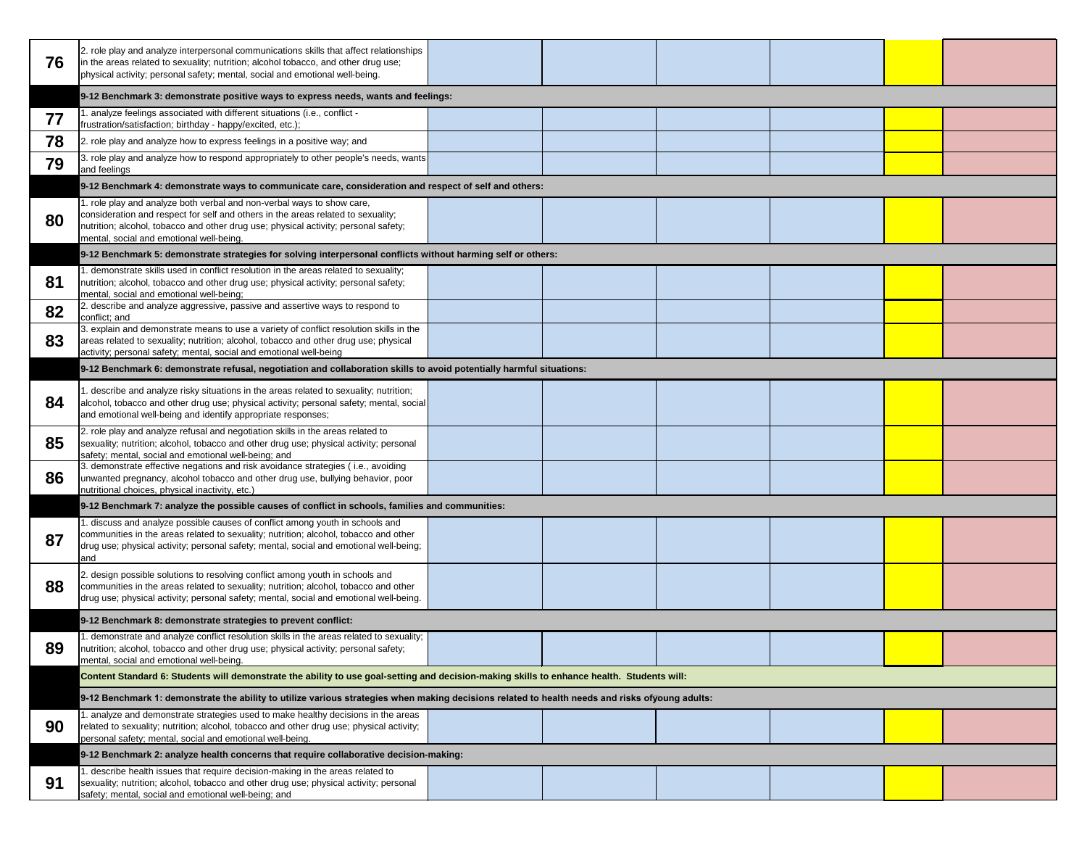| 76 | 2. role play and analyze interpersonal communications skills that affect relationships<br>in the areas related to sexuality; nutrition; alcohol tobacco, and other drug use;<br>physical activity; personal safety; mental, social and emotional well-being.                                  |  |  |  |  |
|----|-----------------------------------------------------------------------------------------------------------------------------------------------------------------------------------------------------------------------------------------------------------------------------------------------|--|--|--|--|
|    | 9-12 Benchmark 3: demonstrate positive ways to express needs, wants and feelings:                                                                                                                                                                                                             |  |  |  |  |
| 77 | 1. analyze feelings associated with different situations (i.e., conflict -<br>frustration/satisfaction; birthday - happy/excited, etc.);                                                                                                                                                      |  |  |  |  |
| 78 | 2. role play and analyze how to express feelings in a positive way; and                                                                                                                                                                                                                       |  |  |  |  |
| 79 | 3. role play and analyze how to respond appropriately to other people's needs, wants<br>and feelings                                                                                                                                                                                          |  |  |  |  |
|    | 9-12 Benchmark 4: demonstrate ways to communicate care, consideration and respect of self and others:                                                                                                                                                                                         |  |  |  |  |
| 80 | 1. role play and analyze both verbal and non-verbal ways to show care,<br>consideration and respect for self and others in the areas related to sexuality;<br>nutrition; alcohol, tobacco and other drug use; physical activity; personal safety;<br>mental, social and emotional well-being. |  |  |  |  |
|    | 9-12 Benchmark 5: demonstrate strategies for solving interpersonal conflicts without harming self or others:                                                                                                                                                                                  |  |  |  |  |
| 81 | 1. demonstrate skills used in conflict resolution in the areas related to sexuality;<br>nutrition; alcohol, tobacco and other drug use; physical activity; personal safety;<br>mental, social and emotional well-being;                                                                       |  |  |  |  |
| 82 | 2. describe and analyze aggressive, passive and assertive ways to respond to<br>conflict; and                                                                                                                                                                                                 |  |  |  |  |
| 83 | 3. explain and demonstrate means to use a variety of conflict resolution skills in the<br>areas related to sexuality; nutrition; alcohol, tobacco and other drug use; physical<br>activity; personal safety; mental, social and emotional well-being                                          |  |  |  |  |
|    | 9-12 Benchmark 6: demonstrate refusal, negotiation and collaboration skills to avoid potentially harmful situations:                                                                                                                                                                          |  |  |  |  |
| 84 | 1. describe and analyze risky situations in the areas related to sexuality; nutrition;<br>alcohol, tobacco and other drug use; physical activity; personal safety; mental, social<br>and emotional well-being and identify appropriate responses;                                             |  |  |  |  |
| 85 | 2. role play and analyze refusal and negotiation skills in the areas related to<br>sexuality; nutrition; alcohol, tobacco and other drug use; physical activity; personal<br>safety; mental, social and emotional well-being; and                                                             |  |  |  |  |
| 86 | 3. demonstrate effective negations and risk avoidance strategies (i.e., avoiding<br>unwanted pregnancy, alcohol tobacco and other drug use, bullying behavior, poor<br>nutritional choices, physical inactivity, etc.)                                                                        |  |  |  |  |
|    | 9-12 Benchmark 7: analyze the possible causes of conflict in schools, families and communities:                                                                                                                                                                                               |  |  |  |  |
| 87 | 1. discuss and analyze possible causes of conflict among youth in schools and<br>communities in the areas related to sexuality; nutrition; alcohol, tobacco and other<br>drug use; physical activity; personal safety; mental, social and emotional well-being;<br>and                        |  |  |  |  |
| 88 | 2. design possible solutions to resolving conflict among youth in schools and<br>communities in the areas related to sexuality; nutrition; alcohol, tobacco and other<br>drug use; physical activity; personal safety; mental, social and emotional well-being.                               |  |  |  |  |
|    | 9-12 Benchmark 8: demonstrate strategies to prevent conflict:                                                                                                                                                                                                                                 |  |  |  |  |
| 89 | 1. demonstrate and analyze conflict resolution skills in the areas related to sexuality;<br>nutrition; alcohol, tobacco and other drug use; physical activity; personal safety;<br>mental, social and emotional well-being.                                                                   |  |  |  |  |
|    | Content Standard 6: Students will demonstrate the ability to use goal-setting and decision-making skills to enhance health. Students will:                                                                                                                                                    |  |  |  |  |
|    | 9-12 Benchmark 1: demonstrate the ability to utilize various strategies when making decisions related to health needs and risks ofyoung adults:                                                                                                                                               |  |  |  |  |
| 90 | 1. analyze and demonstrate strategies used to make healthy decisions in the areas<br>related to sexuality; nutrition; alcohol, tobacco and other drug use; physical activity;<br>personal safety; mental, social and emotional well-being.                                                    |  |  |  |  |
|    | 9-12 Benchmark 2: analyze health concerns that require collaborative decision-making:                                                                                                                                                                                                         |  |  |  |  |
| 91 | 1. describe health issues that require decision-making in the areas related to<br>sexuality; nutrition; alcohol, tobacco and other drug use; physical activity; personal<br>safety; mental, social and emotional well-being; and                                                              |  |  |  |  |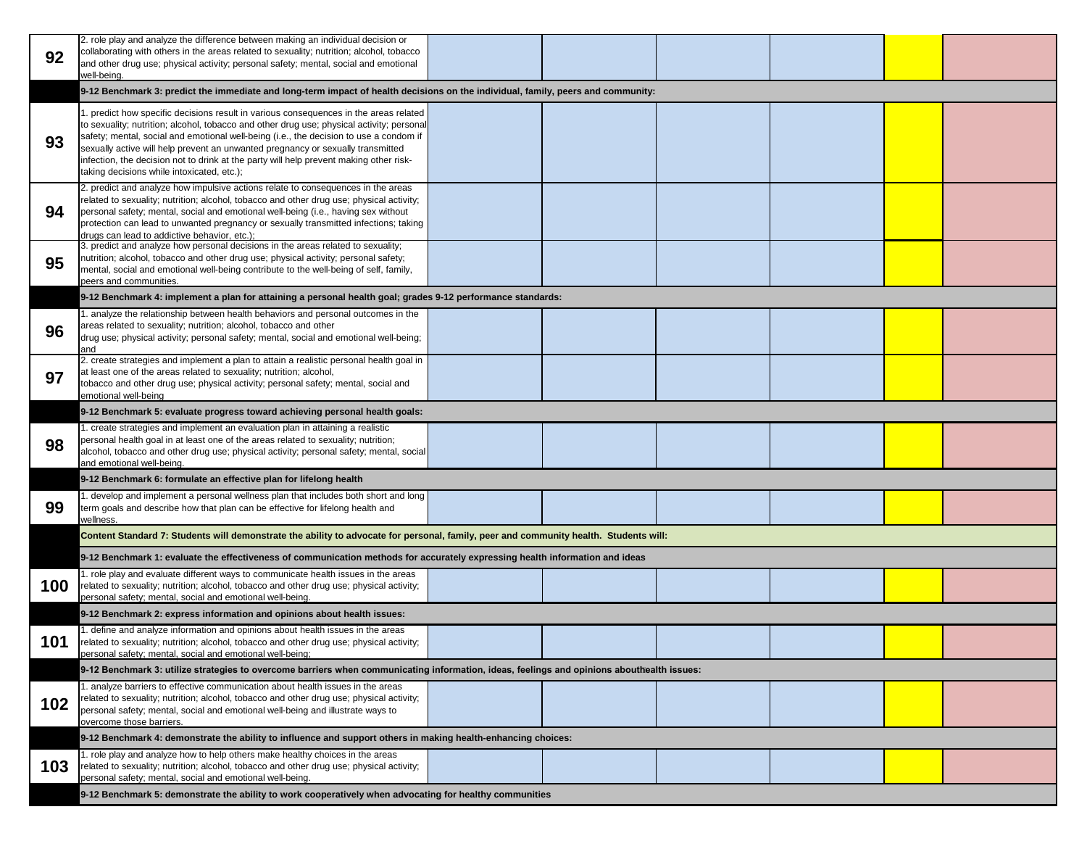| 92  | 2. role play and analyze the difference between making an individual decision or<br>collaborating with others in the areas related to sexuality; nutrition; alcohol, tobacco<br>and other drug use; physical activity; personal safety; mental, social and emotional<br>well-being.                                                                                                                                                                                                                     |  |  |  |  |
|-----|---------------------------------------------------------------------------------------------------------------------------------------------------------------------------------------------------------------------------------------------------------------------------------------------------------------------------------------------------------------------------------------------------------------------------------------------------------------------------------------------------------|--|--|--|--|
|     | 9-12 Benchmark 3: predict the immediate and long-term impact of health decisions on the individual, family, peers and community:                                                                                                                                                                                                                                                                                                                                                                        |  |  |  |  |
| 93  | 1. predict how specific decisions result in various consequences in the areas related<br>to sexuality; nutrition; alcohol, tobacco and other drug use; physical activity; personal<br>safety; mental, social and emotional well-being (i.e., the decision to use a condom if<br>sexually active will help prevent an unwanted pregnancy or sexually transmitted<br>infection, the decision not to drink at the party will help prevent making other risk-<br>taking decisions while intoxicated, etc.); |  |  |  |  |
| 94  | 2. predict and analyze how impulsive actions relate to consequences in the areas<br>related to sexuality; nutrition; alcohol, tobacco and other drug use; physical activity;<br>personal safety; mental, social and emotional well-being (i.e., having sex without<br>protection can lead to unwanted pregnancy or sexually transmitted infections; taking<br>drugs can lead to addictive behavior, etc.);                                                                                              |  |  |  |  |
| 95  | 3. predict and analyze how personal decisions in the areas related to sexuality;<br>nutrition; alcohol, tobacco and other drug use; physical activity; personal safety;<br>mental, social and emotional well-being contribute to the well-being of self, family,<br>peers and communities.                                                                                                                                                                                                              |  |  |  |  |
|     | 9-12 Benchmark 4: implement a plan for attaining a personal health goal; grades 9-12 performance standards:                                                                                                                                                                                                                                                                                                                                                                                             |  |  |  |  |
| 96  | 1. analyze the relationship between health behaviors and personal outcomes in the<br>areas related to sexuality; nutrition; alcohol, tobacco and other<br>drug use; physical activity; personal safety; mental, social and emotional well-being;<br>and                                                                                                                                                                                                                                                 |  |  |  |  |
| 97  | 2. create strategies and implement a plan to attain a realistic personal health goal in<br>at least one of the areas related to sexuality; nutrition; alcohol,<br>tobacco and other drug use; physical activity; personal safety; mental, social and<br>emotional well-being                                                                                                                                                                                                                            |  |  |  |  |
|     | 9-12 Benchmark 5: evaluate progress toward achieving personal health goals:                                                                                                                                                                                                                                                                                                                                                                                                                             |  |  |  |  |
| 98  | 1. create strategies and implement an evaluation plan in attaining a realistic<br>personal health goal in at least one of the areas related to sexuality; nutrition;<br>alcohol, tobacco and other drug use; physical activity; personal safety; mental, social<br>and emotional well-being.                                                                                                                                                                                                            |  |  |  |  |
|     | 9-12 Benchmark 6: formulate an effective plan for lifelong health                                                                                                                                                                                                                                                                                                                                                                                                                                       |  |  |  |  |
| 99  | 1. develop and implement a personal wellness plan that includes both short and long<br>term goals and describe how that plan can be effective for lifelong health and<br>wellness.                                                                                                                                                                                                                                                                                                                      |  |  |  |  |
|     | Content Standard 7: Students will demonstrate the ability to advocate for personal, family, peer and community health. Students will:                                                                                                                                                                                                                                                                                                                                                                   |  |  |  |  |
|     | 9-12 Benchmark 1: evaluate the effectiveness of communication methods for accurately expressing health information and ideas                                                                                                                                                                                                                                                                                                                                                                            |  |  |  |  |
| 100 | 1. role play and evaluate different ways to communicate health issues in the areas<br>related to sexuality; nutrition; alcohol, tobacco and other drug use; physical activity;<br>personal safety; mental, social and emotional well-being.                                                                                                                                                                                                                                                             |  |  |  |  |
|     | 9-12 Benchmark 2: express information and opinions about health issues:                                                                                                                                                                                                                                                                                                                                                                                                                                 |  |  |  |  |
| 101 | 1. define and analyze information and opinions about health issues in the areas<br>related to sexuality; nutrition; alcohol, tobacco and other drug use; physical activity;<br>personal safety; mental, social and emotional well-being;                                                                                                                                                                                                                                                                |  |  |  |  |
|     | 9-12 Benchmark 3: utilize strategies to overcome barriers when communicating information, ideas, feelings and opinions abouthealth issues:                                                                                                                                                                                                                                                                                                                                                              |  |  |  |  |
| 102 | 1. analyze barriers to effective communication about health issues in the areas<br>related to sexuality; nutrition; alcohol, tobacco and other drug use; physical activity;<br>personal safety; mental, social and emotional well-being and illustrate ways to<br>overcome those barriers.                                                                                                                                                                                                              |  |  |  |  |
|     | 9-12 Benchmark 4: demonstrate the ability to influence and support others in making health-enhancing choices:                                                                                                                                                                                                                                                                                                                                                                                           |  |  |  |  |
| 103 | 1. role play and analyze how to help others make healthy choices in the areas<br>related to sexuality; nutrition; alcohol, tobacco and other drug use; physical activity;<br>personal safety; mental, social and emotional well-being.                                                                                                                                                                                                                                                                  |  |  |  |  |
|     | 9-12 Benchmark 5: demonstrate the ability to work cooperatively when advocating for healthy communities                                                                                                                                                                                                                                                                                                                                                                                                 |  |  |  |  |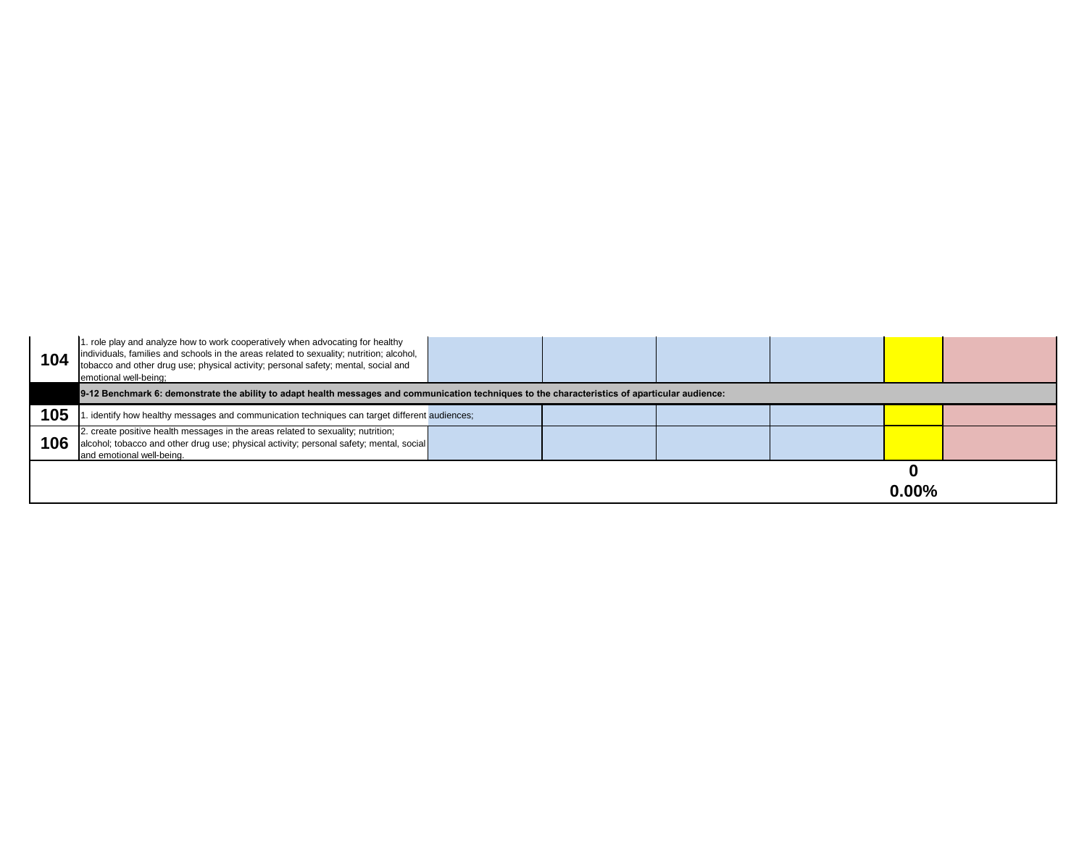| 104 | 1. role play and analyze how to work cooperatively when advocating for healthy<br>individuals, families and schools in the areas related to sexuality; nutrition; alcohol,<br>tobacco and other drug use; physical activity; personal safety; mental, social and<br>emotional well-being; |  |  |
|-----|-------------------------------------------------------------------------------------------------------------------------------------------------------------------------------------------------------------------------------------------------------------------------------------------|--|--|
|     | 9-12 Benchmark 6: demonstrate the ability to adapt health messages and communication techniques to the characteristics of aparticular audience:                                                                                                                                           |  |  |
| 105 | . identify how healthy messages and communication techniques can target different audiences;                                                                                                                                                                                              |  |  |
| 106 | 2. create positive health messages in the areas related to sexuality; nutrition;<br>alcohol; tobacco and other drug use; physical activity; personal safety; mental, social<br>and emotional well-being.                                                                                  |  |  |
|     |                                                                                                                                                                                                                                                                                           |  |  |

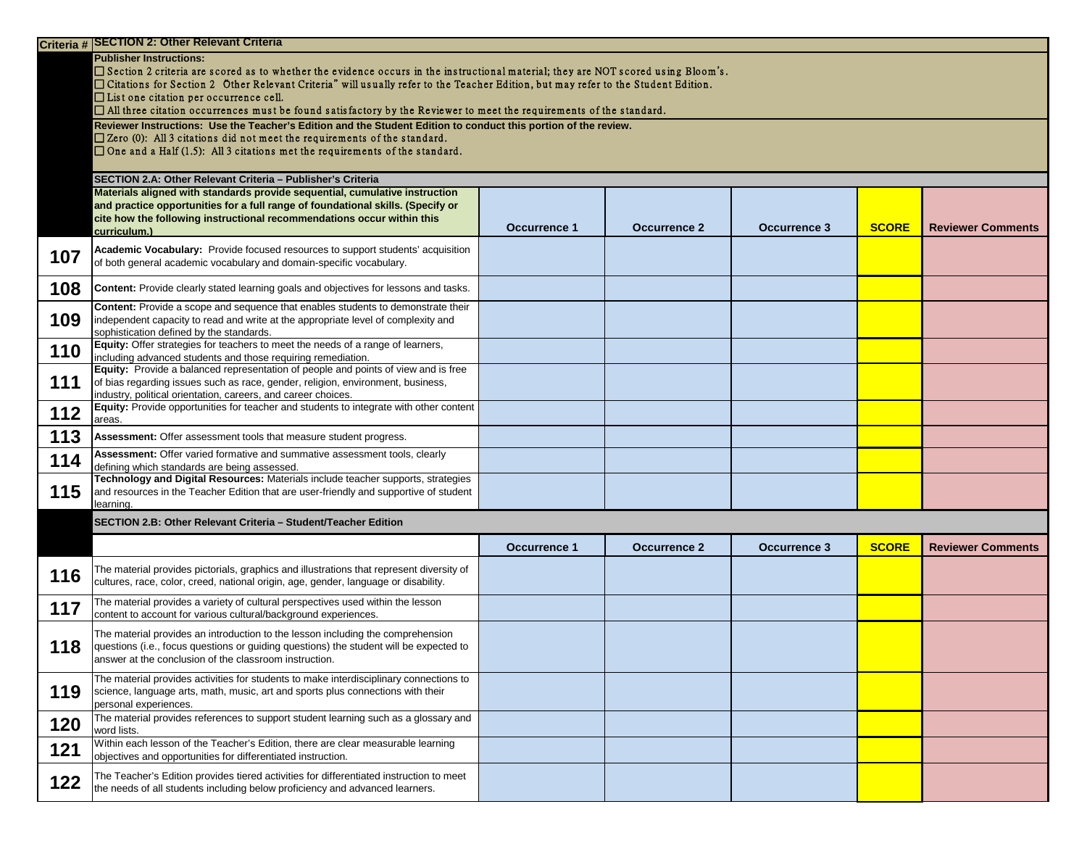|     | Criteria # SECTION 2: Other Relevant Criteria                                                                                                                                                                                                                                                                                                                                                                                                                                                       |                     |                     |                     |              |                          |
|-----|-----------------------------------------------------------------------------------------------------------------------------------------------------------------------------------------------------------------------------------------------------------------------------------------------------------------------------------------------------------------------------------------------------------------------------------------------------------------------------------------------------|---------------------|---------------------|---------------------|--------------|--------------------------|
|     | <b>Publisher Instructions:</b><br>$\square$ Section 2 criteria are scored as to whether the evidence occurs in the instructional material; they are NOT scored using Bloom's.<br>□ Citations for Section 2 Other Relevant Criteria" will usually refer to the Teacher Edition, but may refer to the Student Edition.<br>$\Box$ List one citation per occurrence cell.<br>$\Box$ All three citation occurrences must be found satisfactory by the Reviewer to meet the requirements of the standard. |                     |                     |                     |              |                          |
|     | Reviewer Instructions: Use the Teacher's Edition and the Student Edition to conduct this portion of the review.<br>$\square$ Zero (0): All 3 citations did not meet the requirements of the standard.<br>$\Box$ One and a Half (1.5): All 3 citations met the requirements of the standard.                                                                                                                                                                                                         |                     |                     |                     |              |                          |
|     | SECTION 2.A: Other Relevant Criteria - Publisher's Criteria                                                                                                                                                                                                                                                                                                                                                                                                                                         |                     |                     |                     |              |                          |
|     | Materials aligned with standards provide sequential, cumulative instruction<br>and practice opportunities for a full range of foundational skills. (Specify or<br>cite how the following instructional recommendations occur within this<br>curriculum.)                                                                                                                                                                                                                                            | <b>Occurrence 1</b> | <b>Occurrence 2</b> | <b>Occurrence 3</b> | <b>SCORE</b> | <b>Reviewer Comments</b> |
| 107 | Academic Vocabulary: Provide focused resources to support students' acquisition<br>of both general academic vocabulary and domain-specific vocabulary.                                                                                                                                                                                                                                                                                                                                              |                     |                     |                     |              |                          |
| 108 | <b>Content:</b> Provide clearly stated learning goals and objectives for lessons and tasks.                                                                                                                                                                                                                                                                                                                                                                                                         |                     |                     |                     |              |                          |
| 109 | <b>Content:</b> Provide a scope and sequence that enables students to demonstrate their<br>independent capacity to read and write at the appropriate level of complexity and<br>sophistication defined by the standards.                                                                                                                                                                                                                                                                            |                     |                     |                     |              |                          |
| 110 | <b>Equity:</b> Offer strategies for teachers to meet the needs of a range of learners,<br>including advanced students and those requiring remediation.                                                                                                                                                                                                                                                                                                                                              |                     |                     |                     |              |                          |
| 111 | Equity: Provide a balanced representation of people and points of view and is free<br>of bias regarding issues such as race, gender, religion, environment, business,<br>industry, political orientation, careers, and career choices.                                                                                                                                                                                                                                                              |                     |                     |                     |              |                          |
| 112 | Equity: Provide opportunities for teacher and students to integrate with other content<br>areas.                                                                                                                                                                                                                                                                                                                                                                                                    |                     |                     |                     |              |                          |
| 113 | <b>Assessment:</b> Offer assessment tools that measure student progress.                                                                                                                                                                                                                                                                                                                                                                                                                            |                     |                     |                     |              |                          |
| 114 | Assessment: Offer varied formative and summative assessment tools, clearly<br>defining which standards are being assessed.                                                                                                                                                                                                                                                                                                                                                                          |                     |                     |                     |              |                          |
| 115 | Technology and Digital Resources: Materials include teacher supports, strategies<br>and resources in the Teacher Edition that are user-friendly and supportive of student<br>learning.                                                                                                                                                                                                                                                                                                              |                     |                     |                     |              |                          |
|     | SECTION 2.B: Other Relevant Criteria - Student/Teacher Edition                                                                                                                                                                                                                                                                                                                                                                                                                                      |                     |                     |                     |              |                          |
|     |                                                                                                                                                                                                                                                                                                                                                                                                                                                                                                     | <b>Occurrence 1</b> | <b>Occurrence 2</b> | <b>Occurrence 3</b> | <b>SCORE</b> | <b>Reviewer Comments</b> |
| 116 | The material provides pictorials, graphics and illustrations that represent diversity of<br>cultures, race, color, creed, national origin, age, gender, language or disability.                                                                                                                                                                                                                                                                                                                     |                     |                     |                     |              |                          |
| 117 | The material provides a variety of cultural perspectives used within the lesson<br>content to account for various cultural/background experiences.                                                                                                                                                                                                                                                                                                                                                  |                     |                     |                     |              |                          |
| 118 | The material provides an introduction to the lesson including the comprehension<br>questions (i.e., focus questions or guiding questions) the student will be expected to<br>answer at the conclusion of the classroom instruction.                                                                                                                                                                                                                                                                 |                     |                     |                     |              |                          |
| 119 | The material provides activities for students to make interdisciplinary connections to<br>science, language arts, math, music, art and sports plus connections with their<br>personal experiences.                                                                                                                                                                                                                                                                                                  |                     |                     |                     |              |                          |
| 120 | The material provides references to support student learning such as a glossary and<br>word lists.                                                                                                                                                                                                                                                                                                                                                                                                  |                     |                     |                     |              |                          |
| 121 | Within each lesson of the Teacher's Edition, there are clear measurable learning<br>objectives and opportunities for differentiated instruction.                                                                                                                                                                                                                                                                                                                                                    |                     |                     |                     |              |                          |
| 122 | The Teacher's Edition provides tiered activities for differentiated instruction to meet<br>the needs of all students including below proficiency and advanced learners.                                                                                                                                                                                                                                                                                                                             |                     |                     |                     |              |                          |

| <b>SCORE</b> | <b>Reviewer Comments</b> |
|--------------|--------------------------|
|              |                          |
|              |                          |
|              |                          |
|              |                          |
|              |                          |
|              |                          |
|              |                          |
|              |                          |
|              |                          |

| <b>SCORE</b> | <b>Reviewer Comments</b> |
|--------------|--------------------------|
|              |                          |
|              |                          |
|              |                          |
|              |                          |
|              |                          |
|              |                          |
|              |                          |